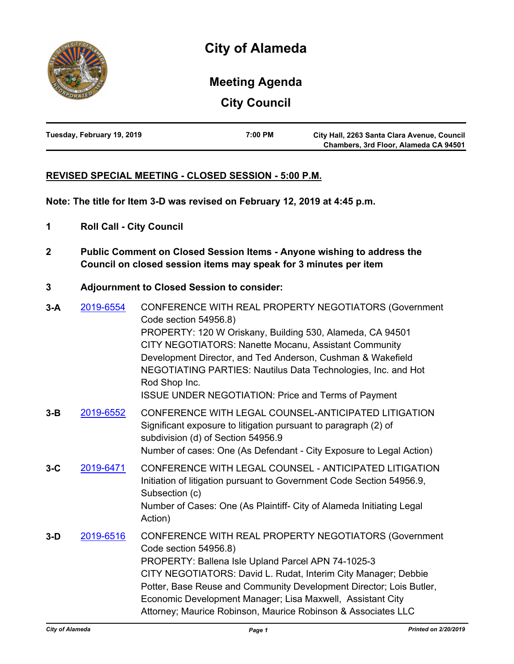

# **Meeting Agenda**

**City Council**

| Tuesday, February 19, 2019 | 7:00 PM | City Hall, 2263 Santa Clara Avenue, Council |
|----------------------------|---------|---------------------------------------------|
|                            |         | Chambers, 3rd Floor, Alameda CA 94501       |

## **REVISED SPECIAL MEETING - CLOSED SESSION - 5:00 P.M.**

**Note: The title for Item 3-D was revised on February 12, 2019 at 4:45 p.m.**

- **1 Roll Call City Council**
- **2 Public Comment on Closed Session Items Anyone wishing to address the Council on closed session items may speak for 3 minutes per item**

## **3 Adjournment to Closed Session to consider:**

**3-A** [2019-6554](http://alameda.legistar.com/gateway.aspx?m=l&id=/matter.aspx?key=8255) CONFERENCE WITH REAL PROPERTY NEGOTIATORS (Government Code section 54956.8) PROPERTY: 120 W Oriskany, Building 530, Alameda, CA 94501 CITY NEGOTIATORS: Nanette Mocanu, Assistant Community Development Director, and Ted Anderson, Cushman & Wakefield NEGOTIATING PARTIES: Nautilus Data Technologies, Inc. and Hot Rod Shop Inc. ISSUE UNDER NEGOTIATION: Price and Terms of Payment **3-B** [2019-6552](http://alameda.legistar.com/gateway.aspx?m=l&id=/matter.aspx?key=8253) CONFERENCE WITH LEGAL COUNSEL-ANTICIPATED LITIGATION Significant exposure to litigation pursuant to paragraph (2) of subdivision (d) of Section 54956.9 Number of cases: One (As Defendant - City Exposure to Legal Action) **3-C** [2019-6471](http://alameda.legistar.com/gateway.aspx?m=l&id=/matter.aspx?key=8172) CONFERENCE WITH LEGAL COUNSEL - ANTICIPATED LITIGATION Initiation of litigation pursuant to Government Code Section 54956.9, Subsection (c) Number of Cases: One (As Plaintiff- City of Alameda Initiating Legal Action) **3-D** [2019-6516](http://alameda.legistar.com/gateway.aspx?m=l&id=/matter.aspx?key=8217) CONFERENCE WITH REAL PROPERTY NEGOTIATORS (Government Code section 54956.8) PROPERTY: Ballena Isle Upland Parcel APN 74-1025-3 CITY NEGOTIATORS: David L. Rudat, Interim City Manager; Debbie Potter, Base Reuse and Community Development Director; Lois Butler, Economic Development Manager; Lisa Maxwell, Assistant City Attorney; Maurice Robinson, Maurice Robinson & Associates LLC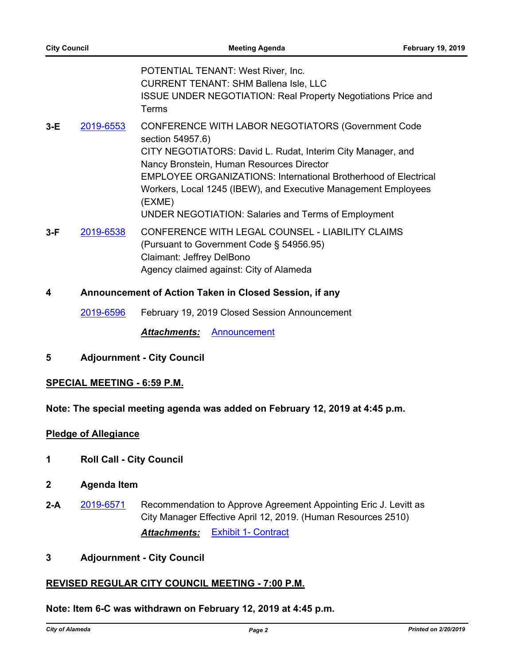POTENTIAL TENANT: West River, Inc. CURRENT TENANT: SHM Ballena Isle, LLC ISSUE UNDER NEGOTIATION: Real Property Negotiations Price and Terms

- **3-E** [2019-6553](http://alameda.legistar.com/gateway.aspx?m=l&id=/matter.aspx?key=8254) CONFERENCE WITH LABOR NEGOTIATORS (Government Code section 54957.6) CITY NEGOTIATORS: David L. Rudat, Interim City Manager, and Nancy Bronstein, Human Resources Director EMPLOYEE ORGANIZATIONS: International Brotherhood of Electrical Workers, Local 1245 (IBEW), and Executive Management Employees (EXME) UNDER NEGOTIATION: Salaries and Terms of Employment
- **3-F** [2019-6538](http://alameda.legistar.com/gateway.aspx?m=l&id=/matter.aspx?key=8239) CONFERENCE WITH LEGAL COUNSEL LIABILITY CLAIMS (Pursuant to Government Code § 54956.95) Claimant: Jeffrey DelBono Agency claimed against: City of Alameda

## **4 Announcement of Action Taken in Closed Session, if any**

[2019-6596](http://alameda.legistar.com/gateway.aspx?m=l&id=/matter.aspx?key=8297) February 19, 2019 Closed Session Announcement

*Attachments:* [Announcement](http://alameda.legistar.com/gateway.aspx?M=F&ID=26cd17d6-9743-4f07-bd99-43efa668c4ef.pdf)

**5 Adjournment - City Council**

#### **SPECIAL MEETING - 6:59 P.M.**

**Note: The special meeting agenda was added on February 12, 2019 at 4:45 p.m.**

#### **Pledge of Allegiance**

- **1 Roll Call City Council**
- **2 Agenda Item**
- **2-A** [2019-6571](http://alameda.legistar.com/gateway.aspx?m=l&id=/matter.aspx?key=8272) Recommendation to Approve Agreement Appointing Eric J. Levitt as City Manager Effective April 12, 2019. (Human Resources 2510) *Attachments:* [Exhibit 1- Contract](http://alameda.legistar.com/gateway.aspx?M=F&ID=1e6a7772-ca8b-4e9d-8cd5-5fce33ca3174.pdf)

#### **3 Adjournment - City Council**

## **REVISED REGULAR CITY COUNCIL MEETING - 7:00 P.M.**

## **Note: Item 6-C was withdrawn on February 12, 2019 at 4:45 p.m.**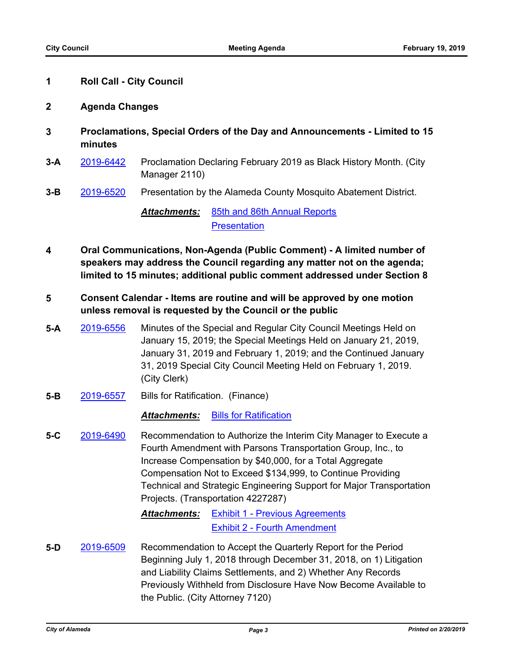## **1 Roll Call - City Council**

## **2 Agenda Changes**

- **3 Proclamations, Special Orders of the Day and Announcements Limited to 15 minutes**
- **3-A** [2019-6442](http://alameda.legistar.com/gateway.aspx?m=l&id=/matter.aspx?key=8143) Proclamation Declaring February 2019 as Black History Month. (City Manager 2110)
- **3-B** [2019-6520](http://alameda.legistar.com/gateway.aspx?m=l&id=/matter.aspx?key=8221) Presentation by the Alameda County Mosquito Abatement District.

*Attachments:* [85th and 86th Annual Reports](http://alameda.legistar.com/gateway.aspx?M=F&ID=081d8748-c33a-4525-b2ce-de3d85358047.pdf) **[Presentation](http://alameda.legistar.com/gateway.aspx?M=F&ID=54680f5a-bf16-41d2-8e9e-a250be28c7d7.pdf)** 

- **4 Oral Communications, Non-Agenda (Public Comment) A limited number of speakers may address the Council regarding any matter not on the agenda; limited to 15 minutes; additional public comment addressed under Section 8**
- **5 Consent Calendar Items are routine and will be approved by one motion unless removal is requested by the Council or the public**
- **5-A** [2019-6556](http://alameda.legistar.com/gateway.aspx?m=l&id=/matter.aspx?key=8257) Minutes of the Special and Regular City Council Meetings Held on January 15, 2019; the Special Meetings Held on January 21, 2019, January 31, 2019 and February 1, 2019; and the Continued January 31, 2019 Special City Council Meeting Held on February 1, 2019. (City Clerk)
- **5-B** [2019-6557](http://alameda.legistar.com/gateway.aspx?m=l&id=/matter.aspx?key=8258) Bills for Ratification. (Finance)

## *Attachments:* [Bills for Ratification](http://alameda.legistar.com/gateway.aspx?M=F&ID=ceaf9cbe-3ec5-4dff-908a-3861f5358067.pdf)

**5-C** [2019-6490](http://alameda.legistar.com/gateway.aspx?m=l&id=/matter.aspx?key=8191) Recommendation to Authorize the Interim City Manager to Execute a Fourth Amendment with Parsons Transportation Group, Inc., to Increase Compensation by \$40,000, for a Total Aggregate Compensation Not to Exceed \$134,999, to Continue Providing Technical and Strategic Engineering Support for Major Transportation Projects. (Transportation 4227287)

> *Attachments:* [Exhibit 1 - Previous Agreements](http://alameda.legistar.com/gateway.aspx?M=F&ID=4acc2459-1f84-4739-a92f-1eeed8d8e080.pdf) [Exhibit 2 - Fourth Amendment](http://alameda.legistar.com/gateway.aspx?M=F&ID=8994ea41-272e-43c9-a003-c4b43646e8a8.pdf)

**5-D** [2019-6509](http://alameda.legistar.com/gateway.aspx?m=l&id=/matter.aspx?key=8210) Recommendation to Accept the Quarterly Report for the Period Beginning July 1, 2018 through December 31, 2018, on 1) Litigation and Liability Claims Settlements, and 2) Whether Any Records Previously Withheld from Disclosure Have Now Become Available to the Public. (City Attorney 7120)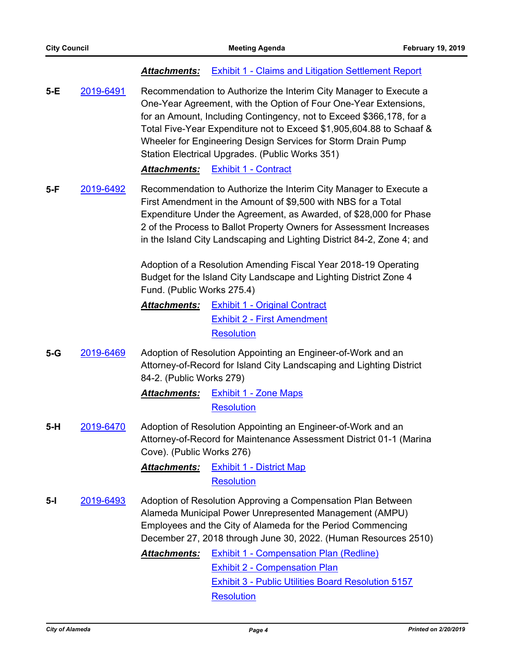| <b>Attachments:</b> Exhibit 1 - Claims and Litigation Settlement Report |
|-------------------------------------------------------------------------|
|-------------------------------------------------------------------------|

**5-E** [2019-6491](http://alameda.legistar.com/gateway.aspx?m=l&id=/matter.aspx?key=8192) Recommendation to Authorize the Interim City Manager to Execute a One-Year Agreement, with the Option of Four One-Year Extensions, for an Amount, Including Contingency, not to Exceed \$366,178, for a Total Five-Year Expenditure not to Exceed \$1,905,604.88 to Schaaf & Wheeler for Engineering Design Services for Storm Drain Pump Station Electrical Upgrades. (Public Works 351)

*Attachments:* [Exhibit 1 - Contract](http://alameda.legistar.com/gateway.aspx?M=F&ID=9347ab7e-496f-47ae-a02d-d830ec6fbff3.pdf)

**5-F** [2019-6492](http://alameda.legistar.com/gateway.aspx?m=l&id=/matter.aspx?key=8193) Recommendation to Authorize the Interim City Manager to Execute a First Amendment in the Amount of \$9,500 with NBS for a Total Expenditure Under the Agreement, as Awarded, of \$28,000 for Phase 2 of the Process to Ballot Property Owners for Assessment Increases in the Island City Landscaping and Lighting District 84-2, Zone 4; and

> Adoption of a Resolution Amending Fiscal Year 2018-19 Operating Budget for the Island City Landscape and Lighting District Zone 4 Fund. (Public Works 275.4)

- *Attachments:* [Exhibit 1 Original Contract](http://alameda.legistar.com/gateway.aspx?M=F&ID=b54242e3-976d-40de-83b9-eb7a81046ddc.pdf) [Exhibit 2 - First Amendment](http://alameda.legistar.com/gateway.aspx?M=F&ID=43b3f2ab-beca-419a-9b99-5a535522cd2a.pdf) **[Resolution](http://alameda.legistar.com/gateway.aspx?M=F&ID=f127bdcf-2413-4b1c-80b9-0b0995d12ea8.pdf)**
- **5-G** [2019-6469](http://alameda.legistar.com/gateway.aspx?m=l&id=/matter.aspx?key=8170) Adoption of Resolution Appointing an Engineer-of-Work and an Attorney-of-Record for Island City Landscaping and Lighting District 84-2. (Public Works 279)

*Attachments:* [Exhibit 1 - Zone Maps](http://alameda.legistar.com/gateway.aspx?M=F&ID=75bba9b0-be8e-4661-958a-8c4fb50d6ba7.pdf) **[Resolution](http://alameda.legistar.com/gateway.aspx?M=F&ID=96a907b1-a4d9-421e-8df5-b2dfb5dbf91e.pdf)** 

- **5-H** [2019-6470](http://alameda.legistar.com/gateway.aspx?m=l&id=/matter.aspx?key=8171) Adoption of Resolution Appointing an Engineer-of-Work and an Attorney-of-Record for Maintenance Assessment District 01-1 (Marina Cove). (Public Works 276)
	- *Attachments:* [Exhibit 1 District Map](http://alameda.legistar.com/gateway.aspx?M=F&ID=d170610d-77e0-4d4d-b24a-6914794a4f16.pdf) **[Resolution](http://alameda.legistar.com/gateway.aspx?M=F&ID=1a2f84d0-c545-470e-9d95-b08fb3f4318a.pdf)**
- **5-I** [2019-6493](http://alameda.legistar.com/gateway.aspx?m=l&id=/matter.aspx?key=8194) Adoption of Resolution Approving a Compensation Plan Between Alameda Municipal Power Unrepresented Management (AMPU) Employees and the City of Alameda for the Period Commencing December 27, 2018 through June 30, 2022. (Human Resources 2510)

*Attachments:* [Exhibit 1 - Compensation Plan \(Redline\)](http://alameda.legistar.com/gateway.aspx?M=F&ID=86b5d061-72e1-4601-8648-b184e4fd021e.pdf) [Exhibit 2 - Compensation Plan](http://alameda.legistar.com/gateway.aspx?M=F&ID=d5a82691-c01d-447d-af99-b16c39523214.pdf) [Exhibit 3 - Public Utilities Board Resolution 5157](http://alameda.legistar.com/gateway.aspx?M=F&ID=e54f2c9b-3362-4d3e-87e6-32c114d5acc6.pdf) **[Resolution](http://alameda.legistar.com/gateway.aspx?M=F&ID=6e119304-3f3a-47b7-a78b-f25387be6d44.pdf)**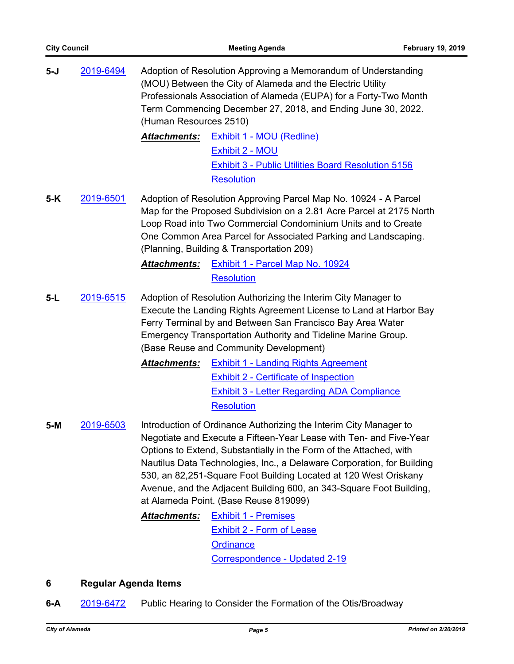| $5-J$ | 2019-6494 | Adoption of Resolution Approving a Memorandum of Understanding<br>(MOU) Between the City of Alameda and the Electric Utility<br>Professionals Association of Alameda (EUPA) for a Forty-Two Month<br>Term Commencing December 27, 2018, and Ending June 30, 2022.<br>(Human Resources 2510)                                                                                                                                                                                 |  |
|-------|-----------|-----------------------------------------------------------------------------------------------------------------------------------------------------------------------------------------------------------------------------------------------------------------------------------------------------------------------------------------------------------------------------------------------------------------------------------------------------------------------------|--|
|       |           | Attachments:<br><b>Exhibit 1 - MOU (Redline)</b><br><b>Exhibit 2 - MOU</b><br><b>Exhibit 3 - Public Utilities Board Resolution 5156</b><br><b>Resolution</b>                                                                                                                                                                                                                                                                                                                |  |
| $5-K$ | 2019-6501 | Adoption of Resolution Approving Parcel Map No. 10924 - A Parcel<br>Map for the Proposed Subdivision on a 2.81 Acre Parcel at 2175 North<br>Loop Road into Two Commercial Condominium Units and to Create<br>One Common Area Parcel for Associated Parking and Landscaping.<br>(Planning, Building & Transportation 209)                                                                                                                                                    |  |
|       |           | Exhibit 1 - Parcel Map No. 10924<br><b>Attachments:</b>                                                                                                                                                                                                                                                                                                                                                                                                                     |  |
|       |           | <b>Resolution</b>                                                                                                                                                                                                                                                                                                                                                                                                                                                           |  |
| $5-L$ | 2019-6515 | Adoption of Resolution Authorizing the Interim City Manager to<br>Execute the Landing Rights Agreement License to Land at Harbor Bay<br>Ferry Terminal by and Between San Francisco Bay Area Water<br>Emergency Transportation Authority and Tideline Marine Group.<br>(Base Reuse and Community Development)                                                                                                                                                               |  |
|       |           | <b>Attachments:</b><br><b>Exhibit 1 - Landing Rights Agreement</b><br><b>Exhibit 2 - Certificate of Inspection</b><br><b>Exhibit 3 - Letter Regarding ADA Compliance</b><br><b>Resolution</b>                                                                                                                                                                                                                                                                               |  |
| $5-M$ | 2019-6503 | Introduction of Ordinance Authorizing the Interim City Manager to<br>Negotiate and Execute a Fifteen-Year Lease with Ten- and Five-Year<br>Options to Extend, Substantially in the Form of the Attached, with<br>Nautilus Data Technologies, Inc., a Delaware Corporation, for Building<br>530, an 82,251-Square Foot Building Located at 120 West Oriskany<br>Avenue, and the Adjacent Building 600, an 343-Square Foot Building,<br>at Alameda Point. (Base Reuse 819099) |  |
|       |           | <b>Attachments:</b><br><b>Exhibit 1 - Premises</b><br><b>Exhibit 2 - Form of Lease</b><br><b>Ordinance</b><br>Correspondence - Updated 2-19                                                                                                                                                                                                                                                                                                                                 |  |

## **6 Regular Agenda Items**

**6-A** [2019-6472](http://alameda.legistar.com/gateway.aspx?m=l&id=/matter.aspx?key=8173) Public Hearing to Consider the Formation of the Otis/Broadway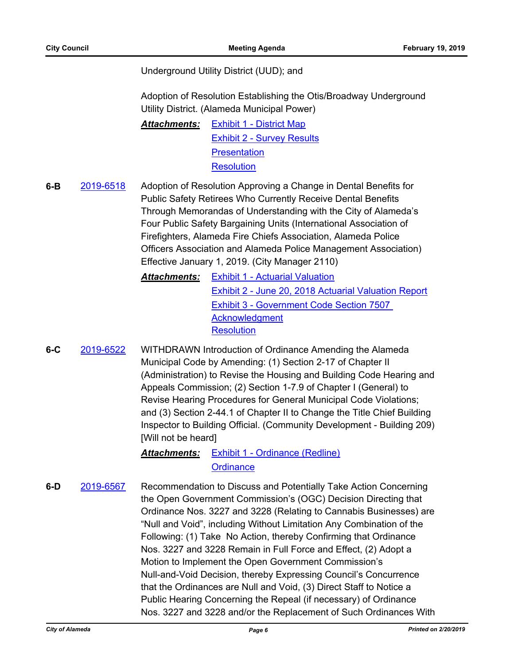## Underground Utility District (UUD); and

Adoption of Resolution Establishing the Otis/Broadway Underground Utility District. (Alameda Municipal Power)

*Attachments:* [Exhibit 1 - District Map](http://alameda.legistar.com/gateway.aspx?M=F&ID=3df6067b-7c44-4b97-9d6f-f7d63e4642d8.pdf) [Exhibit 2 - Survey Results](http://alameda.legistar.com/gateway.aspx?M=F&ID=3deac478-3983-4c8f-bbbf-d49e2e0ca88a.pdf) **[Presentation](http://alameda.legistar.com/gateway.aspx?M=F&ID=74ff94d6-7660-4fac-9360-8cc75aaf98d7.pdf) [Resolution](http://alameda.legistar.com/gateway.aspx?M=F&ID=f36f6db4-85e4-4d26-87ce-6600194b87c5.pdf)** 

**6-B** [2019-6518](http://alameda.legistar.com/gateway.aspx?m=l&id=/matter.aspx?key=8219) Adoption of Resolution Approving a Change in Dental Benefits for Public Safety Retirees Who Currently Receive Dental Benefits Through Memorandas of Understanding with the City of Alameda's Four Public Safety Bargaining Units (International Association of Firefighters, Alameda Fire Chiefs Association, Alameda Police Officers Association and Alameda Police Management Association) Effective January 1, 2019. (City Manager 2110)

- *Attachments:* [Exhibit 1 Actuarial Valuation](http://alameda.legistar.com/gateway.aspx?M=F&ID=ea3016be-1dc8-4697-8b93-f843bf6ae96c.pdf) [Exhibit 2 - June 20, 2018 Actuarial Valuation Report](http://alameda.legistar.com/gateway.aspx?M=F&ID=00dfc743-1eda-4c8d-bf02-56809cdc40b7.pdf) [Exhibit 3 - Government Code Section 7507](http://alameda.legistar.com/gateway.aspx?M=F&ID=7ce8a515-8193-4eaa-b975-68a43119309a.pdf)  **Acknowledgment [Resolution](http://alameda.legistar.com/gateway.aspx?M=F&ID=7ad83ba0-2f9d-4556-95b6-6d75af0ca89c.pdf)**
- **6-C** [2019-6522](http://alameda.legistar.com/gateway.aspx?m=l&id=/matter.aspx?key=8223) WITHDRAWN Introduction of Ordinance Amending the Alameda Municipal Code by Amending: (1) Section 2-17 of Chapter II (Administration) to Revise the Housing and Building Code Hearing and Appeals Commission; (2) Section 1-7.9 of Chapter I (General) to Revise Hearing Procedures for General Municipal Code Violations; and (3) Section 2-44.1 of Chapter II to Change the Title Chief Building Inspector to Building Official. (Community Development - Building 209) [Will not be heard]

*Attachments:* [Exhibit 1 - Ordinance \(Redline\)](http://alameda.legistar.com/gateway.aspx?M=F&ID=3b79cdd6-a88b-4071-9c6b-37331f12821f.pdf) **[Ordinance](http://alameda.legistar.com/gateway.aspx?M=F&ID=2a42eb72-10b8-45d2-96d5-daeb5d1eab99.pdf)** 

**6-D** [2019-6567](http://alameda.legistar.com/gateway.aspx?m=l&id=/matter.aspx?key=8268) Recommendation to Discuss and Potentially Take Action Concerning the Open Government Commission's (OGC) Decision Directing that Ordinance Nos. 3227 and 3228 (Relating to Cannabis Businesses) are "Null and Void", including Without Limitation Any Combination of the Following: (1) Take No Action, thereby Confirming that Ordinance Nos. 3227 and 3228 Remain in Full Force and Effect, (2) Adopt a Motion to Implement the Open Government Commission's Null-and-Void Decision, thereby Expressing Council's Concurrence that the Ordinances are Null and Void, (3) Direct Staff to Notice a Public Hearing Concerning the Repeal (if necessary) of Ordinance Nos. 3227 and 3228 and/or the Replacement of Such Ordinances With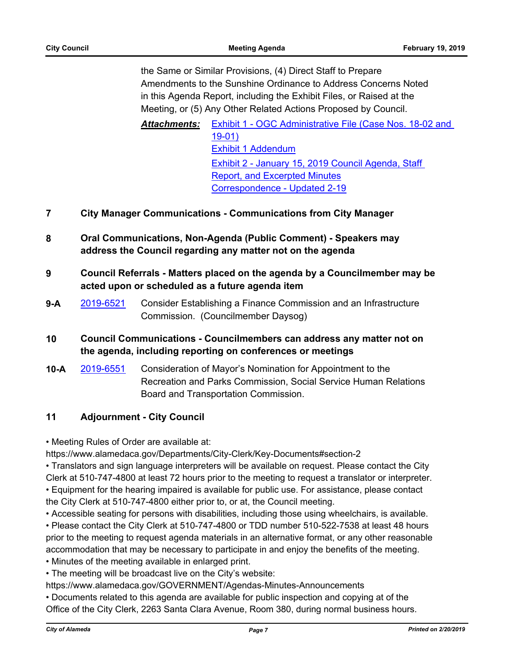the Same or Similar Provisions, (4) Direct Staff to Prepare Amendments to the Sunshine Ordinance to Address Concerns Noted in this Agenda Report, including the Exhibit Files, or Raised at the Meeting, or (5) Any Other Related Actions Proposed by Council.

*Attachments:* [Exhibit 1 - OGC Administrative File \(Case Nos. 18-02 and](http://alameda.legistar.com/gateway.aspx?M=F&ID=1fc1ca62-9e24-44be-a228-6f8c175de7f8.pdf)  19-01) [Exhibit 1 Addendum](http://alameda.legistar.com/gateway.aspx?M=F&ID=7295b960-928b-4e78-8dfc-fbd479902f81.pdf) [Exhibit 2 - January 15, 2019 Council Agenda, Staff](http://alameda.legistar.com/gateway.aspx?M=F&ID=19b598ad-83a6-4894-9e63-aef1cc9534ee.pdf)  Report, and Excerpted Minutes [Correspondence - Updated 2-19](http://alameda.legistar.com/gateway.aspx?M=F&ID=814f8843-3445-48bb-b2ea-20853a31a962.pdf)

## **7 City Manager Communications - Communications from City Manager**

- **8 Oral Communications, Non-Agenda (Public Comment) Speakers may address the Council regarding any matter not on the agenda**
- **9 Council Referrals Matters placed on the agenda by a Councilmember may be acted upon or scheduled as a future agenda item**
- **9-A** [2019-6521](http://alameda.legistar.com/gateway.aspx?m=l&id=/matter.aspx?key=8222) Consider Establishing a Finance Commission and an Infrastructure Commission. (Councilmember Daysog)
- **10 Council Communications Councilmembers can address any matter not on the agenda, including reporting on conferences or meetings**
- **10-A** [2019-6551](http://alameda.legistar.com/gateway.aspx?m=l&id=/matter.aspx?key=8252) Consideration of Mayor's Nomination for Appointment to the Recreation and Parks Commission, Social Service Human Relations Board and Transportation Commission.

## **11 Adjournment - City Council**

• Meeting Rules of Order are available at:

https://www.alamedaca.gov/Departments/City-Clerk/Key-Documents#section-2

• Translators and sign language interpreters will be available on request. Please contact the City Clerk at 510-747-4800 at least 72 hours prior to the meeting to request a translator or interpreter.

• Equipment for the hearing impaired is available for public use. For assistance, please contact the City Clerk at 510-747-4800 either prior to, or at, the Council meeting.

• Accessible seating for persons with disabilities, including those using wheelchairs, is available.

• Please contact the City Clerk at 510-747-4800 or TDD number 510-522-7538 at least 48 hours prior to the meeting to request agenda materials in an alternative format, or any other reasonable accommodation that may be necessary to participate in and enjoy the benefits of the meeting.

• Minutes of the meeting available in enlarged print.

• The meeting will be broadcast live on the City's website:

https://www.alamedaca.gov/GOVERNMENT/Agendas-Minutes-Announcements

• Documents related to this agenda are available for public inspection and copying at of the Office of the City Clerk, 2263 Santa Clara Avenue, Room 380, during normal business hours.